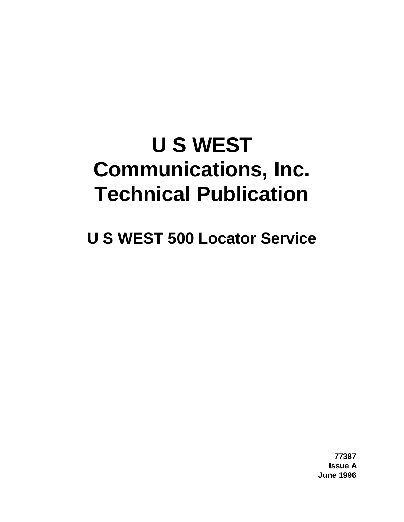# **U S WEST Communications, Inc. Technical Publication**

**U S WEST 500 Locator Service**

**77387 Issue A June 1996**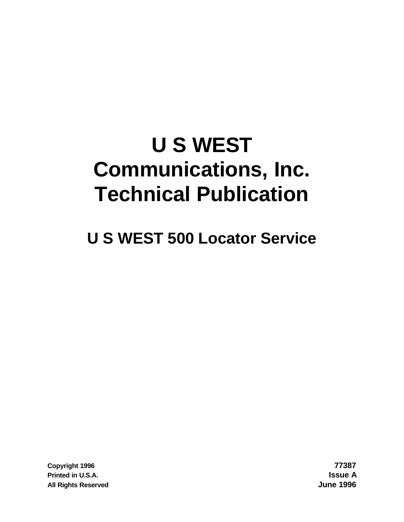# **U S WEST Communications, Inc. Technical Publication**

**U S WEST 500 Locator Service**

**Copyright 1996 77387 Printed in U.S.A. Issue A All Rights Reserved June 1996**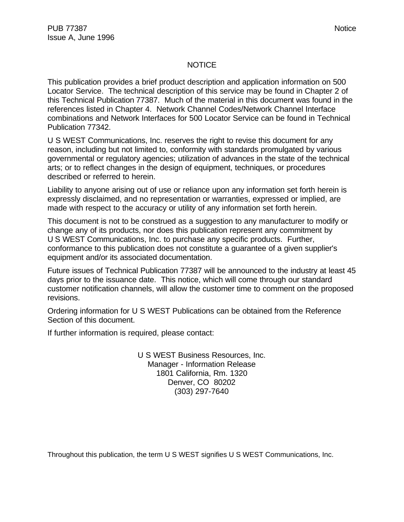#### NOTICE

This publication provides a brief product description and application information on 500 Locator Service. The technical description of this service may be found in Chapter 2 of this Technical Publication 77387. Much of the material in this document was found in the references listed in Chapter 4. Network Channel Codes/Network Channel Interface combinations and Network Interfaces for 500 Locator Service can be found in Technical Publication 77342.

U S WEST Communications, Inc. reserves the right to revise this document for any reason, including but not limited to, conformity with standards promulgated by various governmental or regulatory agencies; utilization of advances in the state of the technical arts; or to reflect changes in the design of equipment, techniques, or procedures described or referred to herein.

Liability to anyone arising out of use or reliance upon any information set forth herein is expressly disclaimed, and no representation or warranties, expressed or implied, are made with respect to the accuracy or utility of any information set forth herein.

This document is not to be construed as a suggestion to any manufacturer to modify or change any of its products, nor does this publication represent any commitment by U S WEST Communications, Inc. to purchase any specific products. Further, conformance to this publication does not constitute a guarantee of a given supplier's equipment and/or its associated documentation.

Future issues of Technical Publication 77387 will be announced to the industry at least 45 days prior to the issuance date. This notice, which will come through our standard customer notification channels, will allow the customer time to comment on the proposed revisions.

Ordering information for U S WEST Publications can be obtained from the Reference Section of this document.

If further information is required, please contact:

U S WEST Business Resources, Inc. Manager - Information Release 1801 California, Rm. 1320 Denver, CO 80202 (303) 297-7640

Throughout this publication, the term U S WEST signifies U S WEST Communications, Inc.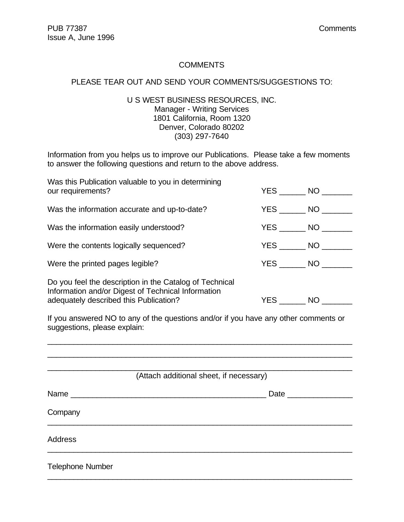#### **COMMENTS**

#### PLEASE TEAR OUT AND SEND YOUR COMMENTS/SUGGESTIONS TO:

#### U S WEST BUSINESS RESOURCES, INC. Manager - Writing Services 1801 California, Room 1320 Denver, Colorado 80202 (303) 297-7640

Information from you helps us to improve our Publications. Please take a few moments to answer the following questions and return to the above address.

| Was this Publication valuable to you in determining<br>our requirements?                                                                                |  | YES NO                 |  |
|---------------------------------------------------------------------------------------------------------------------------------------------------------|--|------------------------|--|
| Was the information accurate and up-to-date?                                                                                                            |  | $YES$ NO $\qquad$      |  |
| Was the information easily understood?                                                                                                                  |  | $YES$ NO $\qquad$      |  |
| Were the contents logically sequenced?                                                                                                                  |  | $YES$ NO $\_\_\_\$     |  |
| Were the printed pages legible?                                                                                                                         |  | $YES$ NO $\_\_\_\_\_\$ |  |
| Do you feel the description in the Catalog of Technical<br>Information and/or Digest of Technical Information<br>adequately described this Publication? |  | YES NO                 |  |
| If you appeared $\overline{N}$ to any of the questions and/or if you have any other comments or                                                         |  |                        |  |

If you answered NO to any of the questions and/or if you have any other comments or suggestions, please explain:

\_\_\_\_\_\_\_\_\_\_\_\_\_\_\_\_\_\_\_\_\_\_\_\_\_\_\_\_\_\_\_\_\_\_\_\_\_\_\_\_\_\_\_\_\_\_\_\_\_\_\_\_\_\_\_\_\_\_\_\_\_\_\_\_\_\_\_\_\_\_

|                         | (Attach additional sheet, if necessary)                                                                         |
|-------------------------|-----------------------------------------------------------------------------------------------------------------|
|                         | Date and the state of the state of the state of the state of the state of the state of the state of the state o |
| Company                 |                                                                                                                 |
| <b>Address</b>          |                                                                                                                 |
| <b>Telephone Number</b> |                                                                                                                 |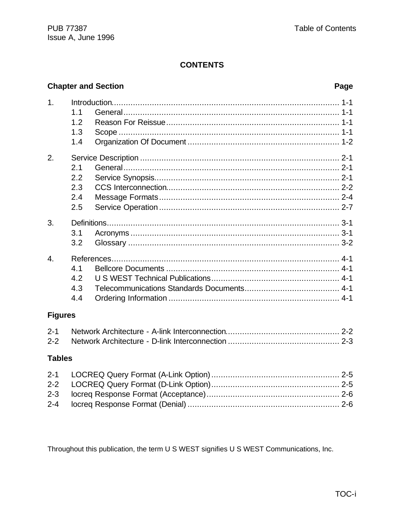#### **Chapter and Section**

# Page

| 1.               |     |  |  |
|------------------|-----|--|--|
|                  | 1.1 |  |  |
|                  | 1.2 |  |  |
|                  | 1.3 |  |  |
|                  | 1.4 |  |  |
| 2.               |     |  |  |
|                  | 2.1 |  |  |
|                  | 2.2 |  |  |
|                  | 2.3 |  |  |
|                  | 2.4 |  |  |
|                  | 2.5 |  |  |
| 3.               |     |  |  |
|                  | 3.1 |  |  |
|                  | 3.2 |  |  |
| $\overline{4}$ . |     |  |  |
|                  | 4.1 |  |  |
|                  | 4.2 |  |  |
|                  | 4.3 |  |  |
|                  | 4.4 |  |  |
| <b>Figures</b>   |     |  |  |
| $2 - 1$          |     |  |  |
| $2 - 2$          |     |  |  |

#### **Tables**

Throughout this publication, the term U S WEST signifies U S WEST Communications, Inc.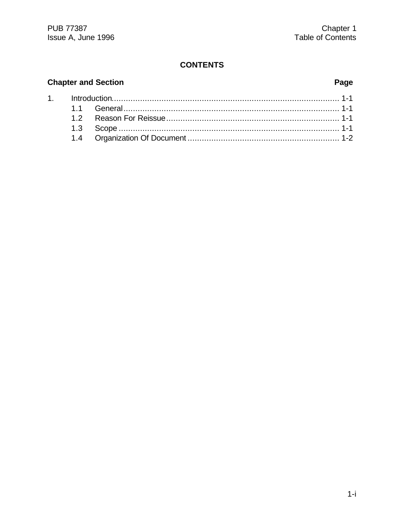# **Chapter and Section**

 $1.$ 

# Page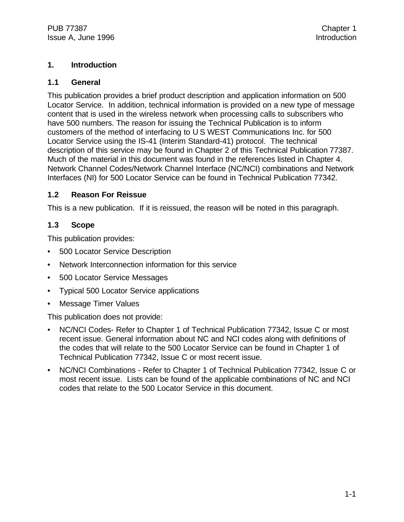#### **1. Introduction**

#### **1.1 General**

This publication provides a brief product description and application information on 500 Locator Service. In addition, technical information is provided on a new type of message content that is used in the wireless network when processing calls to subscribers who have 500 numbers. The reason for issuing the Technical Publication is to inform customers of the method of interfacing to U S WEST Communications Inc. for 500 Locator Service using the IS-41 (Interim Standard-41) protocol. The technical description of this service may be found in Chapter 2 of this Technical Publication 77387. Much of the material in this document was found in the references listed in Chapter 4. Network Channel Codes/Network Channel Interface (NC/NCI) combinations and Network Interfaces (NI) for 500 Locator Service can be found in Technical Publication 77342.

#### **1.2 Reason For Reissue**

This is a new publication. If it is reissued, the reason will be noted in this paragraph.

#### **1.3 Scope**

This publication provides:

- 500 Locator Service Description
- Network Interconnection information for this service
- 500 Locator Service Messages
- Typical 500 Locator Service applications
- Message Timer Values

This publication does not provide:

- NC/NCI Codes- Refer to Chapter 1 of Technical Publication 77342, Issue C or most recent issue. General information about NC and NCI codes along with definitions of the codes that will relate to the 500 Locator Service can be found in Chapter 1 of Technical Publication 77342, Issue C or most recent issue.
- NC/NCI Combinations Refer to Chapter 1 of Technical Publication 77342, Issue C or most recent issue. Lists can be found of the applicable combinations of NC and NCI codes that relate to the 500 Locator Service in this document.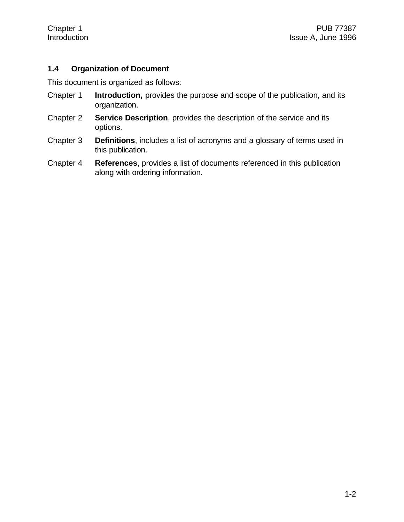#### **1.4 Organization of Document**

This document is organized as follows:

- Chapter 1 **Introduction,** provides the purpose and scope of the publication, and its organization.
- Chapter 2 **Service Description**, provides the description of the service and its options.
- Chapter 3 **Definitions**, includes a list of acronyms and a glossary of terms used in this publication.
- Chapter 4 **References**, provides a list of documents referenced in this publication along with ordering information.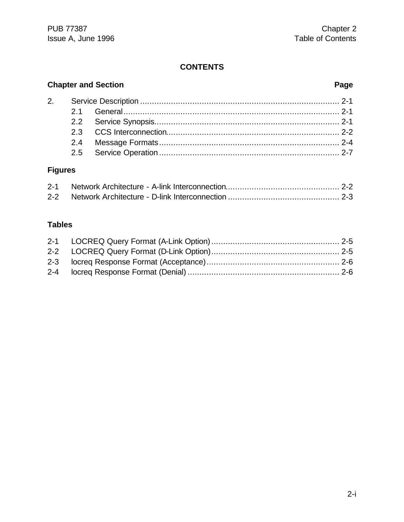# **Chapter and Section Page**

# **Figures**

## **Tables**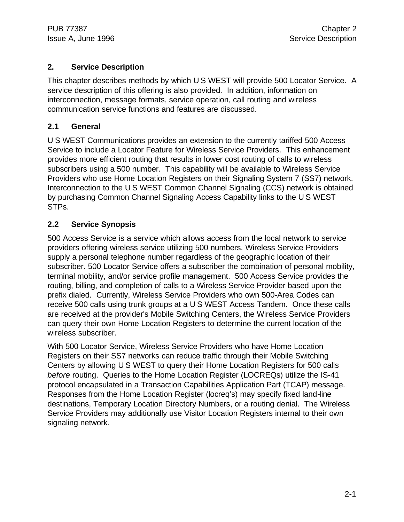#### **2. Service Description**

This chapter describes methods by which U S WEST will provide 500 Locator Service. A service description of this offering is also provided. In addition, information on interconnection, message formats, service operation, call routing and wireless communication service functions and features are discussed.

#### **2.1 General**

U S WEST Communications provides an extension to the currently tariffed 500 Access Service to include a Locator Feature for Wireless Service Providers. This enhancement provides more efficient routing that results in lower cost routing of calls to wireless subscribers using a 500 number. This capability will be available to Wireless Service Providers who use Home Location Registers on their Signaling System 7 (SS7) network. Interconnection to the U S WEST Common Channel Signaling (CCS) network is obtained by purchasing Common Channel Signaling Access Capability links to the U S WEST STPs.

### **2.2 Service Synopsis**

500 Access Service is a service which allows access from the local network to service providers offering wireless service utilizing 500 numbers. Wireless Service Providers supply a personal telephone number regardless of the geographic location of their subscriber. 500 Locator Service offers a subscriber the combination of personal mobility, terminal mobility, and/or service profile management. 500 Access Service provides the routing, billing, and completion of calls to a Wireless Service Provider based upon the prefix dialed. Currently, Wireless Service Providers who own 500-Area Codes can receive 500 calls using trunk groups at a U S WEST Access Tandem. Once these calls are received at the provider's Mobile Switching Centers, the Wireless Service Providers can query their own Home Location Registers to determine the current location of the wireless subscriber.

With 500 Locator Service, Wireless Service Providers who have Home Location Registers on their SS7 networks can reduce traffic through their Mobile Switching Centers by allowing U S WEST to query their Home Location Registers for 500 calls *before* routing. Queries to the Home Location Register (LOCREQs) utilize the IS-41 protocol encapsulated in a Transaction Capabilities Application Part (TCAP) message. Responses from the Home Location Register (locreq's) may specify fixed land-line destinations, Temporary Location Directory Numbers, or a routing denial. The Wireless Service Providers may additionally use Visitor Location Registers internal to their own signaling network.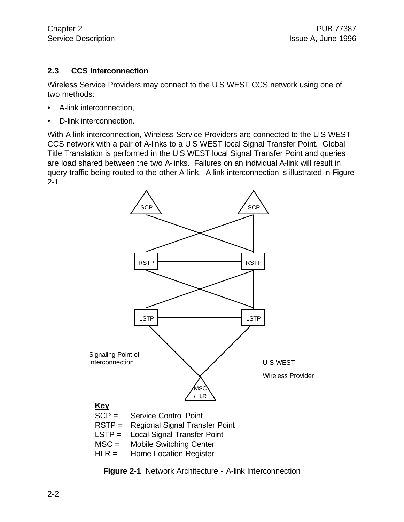#### **2.3 CCS Interconnection**

Wireless Service Providers may connect to the U S WEST CCS network using one of two methods:

- A-link interconnection,
- D-link interconnection.

With A-link interconnection, Wireless Service Providers are connected to the U S WEST CCS network with a pair of A-links to a U S WEST local Signal Transfer Point. Global Title Translation is performed in the U S WEST local Signal Transfer Point and queries are load shared between the two A-links. Failures on an individual A-link will result in query traffic being routed to the other A-link. A-link interconnection is illustrated in Figure 2-1.



**Figure 2-1** Network Architecture - A-link Interconnection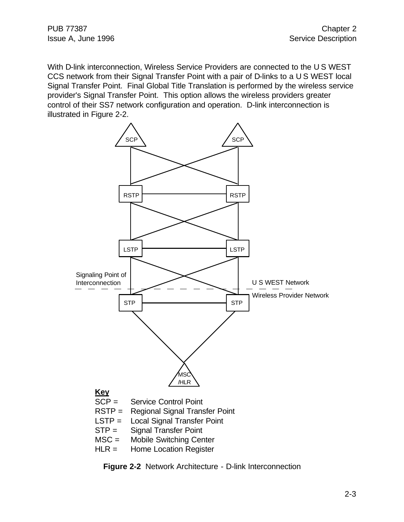With D-link interconnection, Wireless Service Providers are connected to the U S WEST CCS network from their Signal Transfer Point with a pair of D-links to a U S WEST local Signal Transfer Point. Final Global Title Translation is performed by the wireless service provider's Signal Transfer Point. This option allows the wireless providers greater control of their SS7 network configuration and operation. D-link interconnection is illustrated in Figure 2-2.



**Figure 2-2** Network Architecture - D-link Interconnection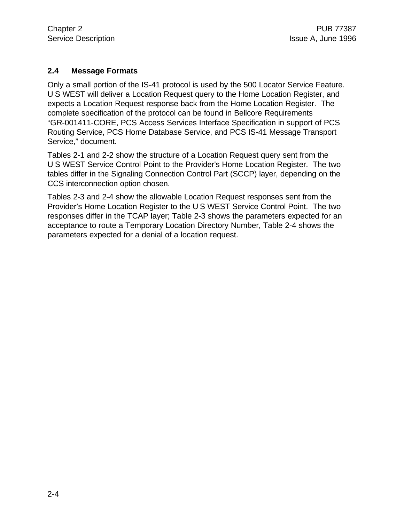#### **2.4 Message Formats**

Only a small portion of the IS-41 protocol is used by the 500 Locator Service Feature. U S WEST will deliver a Location Request query to the Home Location Register, and expects a Location Request response back from the Home Location Register. The complete specification of the protocol can be found in Bellcore Requirements "GR-001411-CORE, PCS Access Services Interface Specification in support of PCS Routing Service, PCS Home Database Service, and PCS IS-41 Message Transport Service," document.

Tables 2-1 and 2-2 show the structure of a Location Request query sent from the U S WEST Service Control Point to the Provider's Home Location Register. The two tables differ in the Signaling Connection Control Part (SCCP) layer, depending on the CCS interconnection option chosen.

Tables 2-3 and 2-4 show the allowable Location Request responses sent from the Provider's Home Location Register to the U S WEST Service Control Point. The two responses differ in the TCAP layer; Table 2-3 shows the parameters expected for an acceptance to route a Temporary Location Directory Number, Table 2-4 shows the parameters expected for a denial of a location request.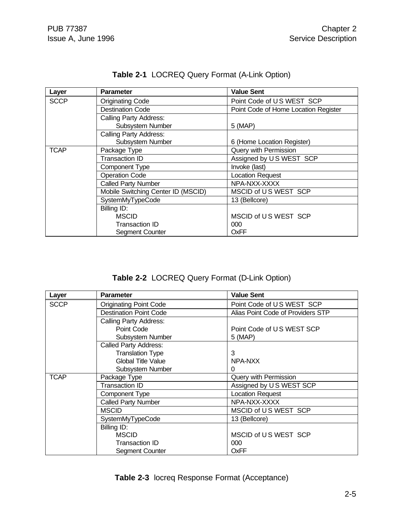| Layer       | <b>Parameter</b>                   | <b>Value Sent</b>                    |
|-------------|------------------------------------|--------------------------------------|
| <b>SCCP</b> | <b>Originating Code</b>            | Point Code of US WEST SCP            |
|             | <b>Destination Code</b>            | Point Code of Home Location Register |
|             | <b>Calling Party Address:</b>      |                                      |
|             | <b>Subsystem Number</b>            | 5 (MAP)                              |
|             | <b>Calling Party Address:</b>      |                                      |
|             | <b>Subsystem Number</b>            | 6 (Home Location Register)           |
| <b>TCAP</b> | Package Type                       | Query with Permission                |
|             | <b>Transaction ID</b>              | Assigned by US WEST SCP              |
|             | <b>Component Type</b>              | Invoke (last)                        |
|             | <b>Operation Code</b>              | <b>Location Request</b>              |
|             | <b>Called Party Number</b>         | NPA-NXX-XXXX                         |
|             | Mobile Switching Center ID (MSCID) | MSCID of US WEST SCP                 |
|             | SystemMyTypeCode                   | 13 (Bellcore)                        |
|             | Billing ID:                        |                                      |
|             | <b>MSCID</b>                       | MSCID of US WEST SCP                 |
|             | Transaction ID                     | 000                                  |
|             | <b>Segment Counter</b>             | OxFF                                 |

# **Table 2-1** LOCREQ Query Format (A-Link Option)

**Table 2-2** LOCREQ Query Format (D-Link Option)

| Layer       | <b>Parameter</b>              | <b>Value Sent</b>                 |
|-------------|-------------------------------|-----------------------------------|
| <b>SCCP</b> | <b>Originating Point Code</b> | Point Code of US WEST SCP         |
|             | <b>Destination Point Code</b> | Alias Point Code of Providers STP |
|             | <b>Calling Party Address:</b> |                                   |
|             | Point Code                    | Point Code of US WEST SCP         |
|             | Subsystem Number              | 5 (MAP)                           |
|             | Called Party Address:         |                                   |
|             | <b>Translation Type</b>       | 3                                 |
|             | <b>Global Title Value</b>     | NPA-NXX                           |
|             | Subsystem Number              |                                   |
| <b>TCAP</b> | Package Type                  | Query with Permission             |
|             | <b>Transaction ID</b>         | Assigned by US WEST SCP           |
|             | <b>Component Type</b>         | <b>Location Request</b>           |
|             | <b>Called Party Number</b>    | NPA-NXX-XXXX                      |
|             | <b>MSCID</b>                  | MSCID of US WEST SCP              |
|             | SystemMyTypeCode              | 13 (Bellcore)                     |
|             | Billing ID:                   |                                   |
|             | <b>MSCID</b>                  | MSCID of US WEST SCP              |
|             | Transaction ID                | 000                               |
|             | <b>Segment Counter</b>        | OxFF                              |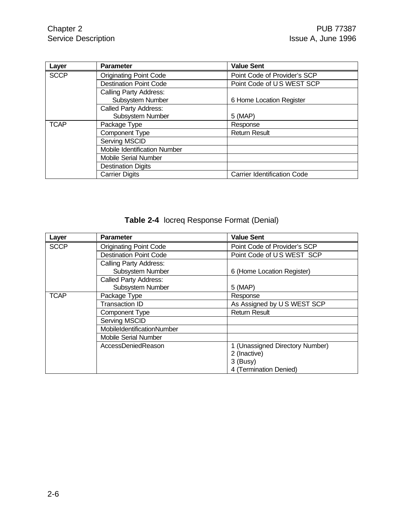| Layer       | <b>Parameter</b>              | <b>Value Sent</b>                  |
|-------------|-------------------------------|------------------------------------|
| <b>SCCP</b> | <b>Originating Point Code</b> | Point Code of Provider's SCP       |
|             | <b>Destination Point Code</b> | Point Code of US WEST SCP          |
|             | Calling Party Address:        |                                    |
|             | Subsystem Number              | 6 Home Location Register           |
|             | <b>Called Party Address:</b>  |                                    |
|             | Subsystem Number              | 5 (MAP)                            |
| <b>TCAP</b> | Package Type                  | Response                           |
|             | <b>Component Type</b>         | <b>Return Result</b>               |
|             | <b>Serving MSCID</b>          |                                    |
|             | Mobile Identification Number  |                                    |
|             | <b>Mobile Serial Number</b>   |                                    |
|             | <b>Destination Digits</b>     |                                    |
|             | <b>Carrier Digits</b>         | <b>Carrier Identification Code</b> |

**Table 2-4** locreq Response Format (Denial)

| Layer       | <b>Parameter</b>              | <b>Value Sent</b>               |
|-------------|-------------------------------|---------------------------------|
| <b>SCCP</b> | <b>Originating Point Code</b> | Point Code of Provider's SCP    |
|             | <b>Destination Point Code</b> | Point Code of US WEST SCP       |
|             | <b>Calling Party Address:</b> |                                 |
|             | Subsystem Number              | 6 (Home Location Register)      |
|             | <b>Called Party Address:</b>  |                                 |
|             | Subsystem Number              | 5 (MAP)                         |
| <b>TCAP</b> | Package Type                  | Response                        |
|             | <b>Transaction ID</b>         | As Assigned by US WEST SCP      |
|             | <b>Component Type</b>         | <b>Return Result</b>            |
|             | <b>Serving MSCID</b>          |                                 |
|             | MobileIdentificationNumber    |                                 |
|             | Mobile Serial Number          |                                 |
|             | AccessDeniedReason            | 1 (Unassigned Directory Number) |
|             |                               | 2 (Inactive)                    |
|             |                               | 3 (Busy)                        |
|             |                               | 4 (Termination Denied)          |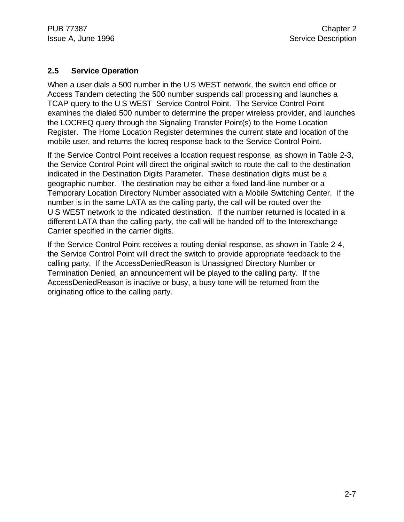#### **2.5 Service Operation**

When a user dials a 500 number in the U S WEST network, the switch end office or Access Tandem detecting the 500 number suspends call processing and launches a TCAP query to the U S WEST Service Control Point. The Service Control Point examines the dialed 500 number to determine the proper wireless provider, and launches the LOCREQ query through the Signaling Transfer Point(s) to the Home Location Register. The Home Location Register determines the current state and location of the mobile user, and returns the locreq response back to the Service Control Point.

If the Service Control Point receives a location request response, as shown in Table 2-3, the Service Control Point will direct the original switch to route the call to the destination indicated in the Destination Digits Parameter. These destination digits must be a geographic number. The destination may be either a fixed land-line number or a Temporary Location Directory Number associated with a Mobile Switching Center. If the number is in the same LATA as the calling party, the call will be routed over the U S WEST network to the indicated destination. If the number returned is located in a different LATA than the calling party, the call will be handed off to the Interexchange Carrier specified in the carrier digits.

If the Service Control Point receives a routing denial response, as shown in Table 2-4, the Service Control Point will direct the switch to provide appropriate feedback to the calling party. If the AccessDeniedReason is Unassigned Directory Number or Termination Denied, an announcement will be played to the calling party. If the AccessDeniedReason is inactive or busy, a busy tone will be returned from the originating office to the calling party.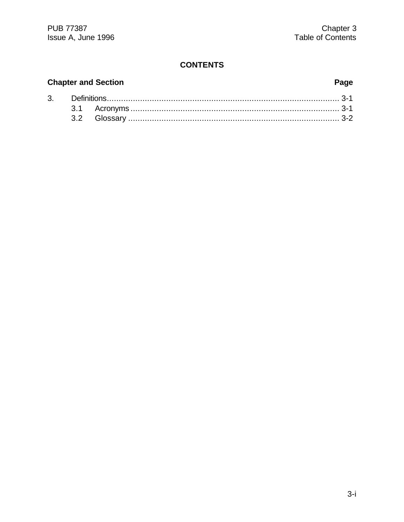# **Chapter and Section**

# Page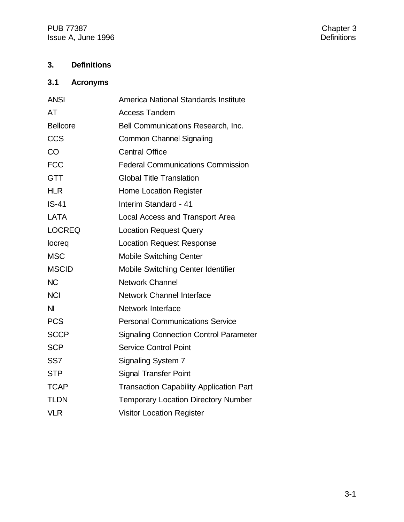PUB 77387<br>
Issue A, June 1996 Issue A, June 1996

# **3. Definitions**

# **3.1 Acronyms**

| <b>ANSI</b>     | America National Standards Institute           |
|-----------------|------------------------------------------------|
| AT              | <b>Access Tandem</b>                           |
| <b>Bellcore</b> | Bell Communications Research, Inc.             |
| <b>CCS</b>      | <b>Common Channel Signaling</b>                |
| CO              | <b>Central Office</b>                          |
| <b>FCC</b>      | <b>Federal Communications Commission</b>       |
| <b>GTT</b>      | <b>Global Title Translation</b>                |
| <b>HLR</b>      | <b>Home Location Register</b>                  |
| $IS-41$         | Interim Standard - 41                          |
| <b>LATA</b>     | <b>Local Access and Transport Area</b>         |
| <b>LOCREQ</b>   | <b>Location Request Query</b>                  |
| locreg          | <b>Location Request Response</b>               |
| <b>MSC</b>      | <b>Mobile Switching Center</b>                 |
| <b>MSCID</b>    | Mobile Switching Center Identifier             |
| <b>NC</b>       | <b>Network Channel</b>                         |
| <b>NCI</b>      | Network Channel Interface                      |
| NI              | <b>Network Interface</b>                       |
| <b>PCS</b>      | <b>Personal Communications Service</b>         |
| <b>SCCP</b>     | <b>Signaling Connection Control Parameter</b>  |
| <b>SCP</b>      | <b>Service Control Point</b>                   |
| SS <sub>7</sub> | <b>Signaling System 7</b>                      |
| <b>STP</b>      | <b>Signal Transfer Point</b>                   |
| <b>TCAP</b>     | <b>Transaction Capability Application Part</b> |
| <b>TLDN</b>     | <b>Temporary Location Directory Number</b>     |
| <b>VLR</b>      | <b>Visitor Location Register</b>               |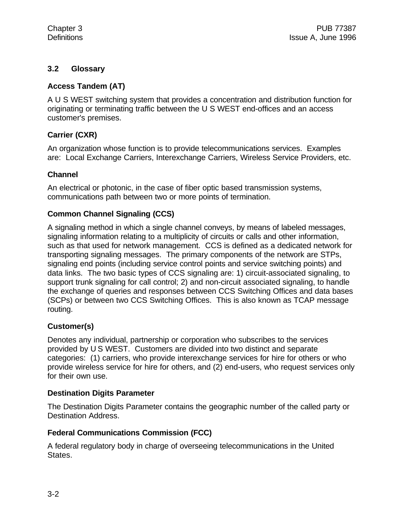#### **3.2 Glossary**

#### **Access Tandem (AT)**

A U S WEST switching system that provides a concentration and distribution function for originating or terminating traffic between the U S WEST end-offices and an access customer's premises.

#### **Carrier (CXR)**

An organization whose function is to provide telecommunications services. Examples are: Local Exchange Carriers, Interexchange Carriers, Wireless Service Providers, etc.

#### **Channel**

An electrical or photonic, in the case of fiber optic based transmission systems, communications path between two or more points of termination.

#### **Common Channel Signaling (CCS)**

A signaling method in which a single channel conveys, by means of labeled messages, signaling information relating to a multiplicity of circuits or calls and other information, such as that used for network management. CCS is defined as a dedicated network for transporting signaling messages. The primary components of the network are STPs, signaling end points (including service control points and service switching points) and data links. The two basic types of CCS signaling are: 1) circuit-associated signaling, to support trunk signaling for call control; 2) and non-circuit associated signaling, to handle the exchange of queries and responses between CCS Switching Offices and data bases (SCPs) or between two CCS Switching Offices. This is also known as TCAP message routing.

#### **Customer(s)**

Denotes any individual, partnership or corporation who subscribes to the services provided by U S WEST. Customers are divided into two distinct and separate categories: (1) carriers, who provide interexchange services for hire for others or who provide wireless service for hire for others, and (2) end-users, who request services only for their own use.

#### **Destination Digits Parameter**

The Destination Digits Parameter contains the geographic number of the called party or Destination Address.

#### **Federal Communications Commission (FCC)**

A federal regulatory body in charge of overseeing telecommunications in the United States.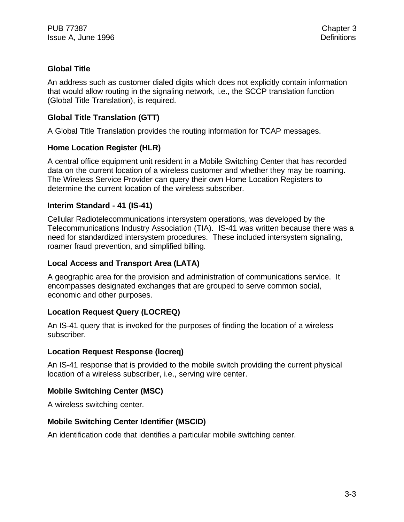#### **Global Title**

An address such as customer dialed digits which does not explicitly contain information that would allow routing in the signaling network, i.e., the SCCP translation function (Global Title Translation), is required.

#### **Global Title Translation (GTT)**

A Global Title Translation provides the routing information for TCAP messages.

#### **Home Location Register (HLR)**

A central office equipment unit resident in a Mobile Switching Center that has recorded data on the current location of a wireless customer and whether they may be roaming. The Wireless Service Provider can query their own Home Location Registers to determine the current location of the wireless subscriber.

#### **Interim Standard - 41 (IS-41)**

Cellular Radiotelecommunications intersystem operations, was developed by the Telecommunications Industry Association (TIA). IS-41 was written because there was a need for standardized intersystem procedures. These included intersystem signaling, roamer fraud prevention, and simplified billing.

#### **Local Access and Transport Area (LATA)**

A geographic area for the provision and administration of communications service. It encompasses designated exchanges that are grouped to serve common social, economic and other purposes.

#### **Location Request Query (LOCREQ)**

An IS-41 query that is invoked for the purposes of finding the location of a wireless subscriber.

#### **Location Request Response (locreq)**

An IS-41 response that is provided to the mobile switch providing the current physical location of a wireless subscriber, i.e., serving wire center.

#### **Mobile Switching Center (MSC)**

A wireless switching center.

#### **Mobile Switching Center Identifier (MSCID)**

An identification code that identifies a particular mobile switching center.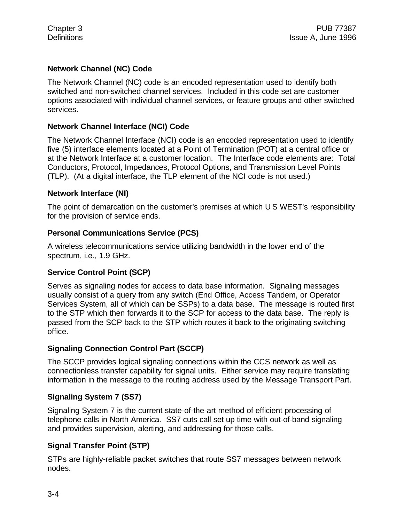#### **Network Channel (NC) Code**

The Network Channel (NC) code is an encoded representation used to identify both switched and non-switched channel services. Included in this code set are customer options associated with individual channel services, or feature groups and other switched services.

#### **Network Channel Interface (NCI) Code**

The Network Channel Interface (NCI) code is an encoded representation used to identify five (5) interface elements located at a Point of Termination (POT) at a central office or at the Network Interface at a customer location. The Interface code elements are: Total Conductors, Protocol, Impedances, Protocol Options, and Transmission Level Points (TLP). (At a digital interface, the TLP element of the NCI code is not used.)

#### **Network Interface (NI)**

The point of demarcation on the customer's premises at which U S WEST's responsibility for the provision of service ends.

#### **Personal Communications Service (PCS)**

A wireless telecommunications service utilizing bandwidth in the lower end of the spectrum, i.e., 1.9 GHz.

#### **Service Control Point (SCP)**

Serves as signaling nodes for access to data base information. Signaling messages usually consist of a query from any switch (End Office, Access Tandem, or Operator Services System, all of which can be SSPs) to a data base. The message is routed first to the STP which then forwards it to the SCP for access to the data base. The reply is passed from the SCP back to the STP which routes it back to the originating switching office.

#### **Signaling Connection Control Part (SCCP)**

The SCCP provides logical signaling connections within the CCS network as well as connectionless transfer capability for signal units. Either service may require translating information in the message to the routing address used by the Message Transport Part.

#### **Signaling System 7 (SS7)**

Signaling System 7 is the current state-of-the-art method of efficient processing of telephone calls in North America. SS7 cuts call set up time with out-of-band signaling and provides supervision, alerting, and addressing for those calls.

#### **Signal Transfer Point (STP)**

STPs are highly-reliable packet switches that route SS7 messages between network nodes.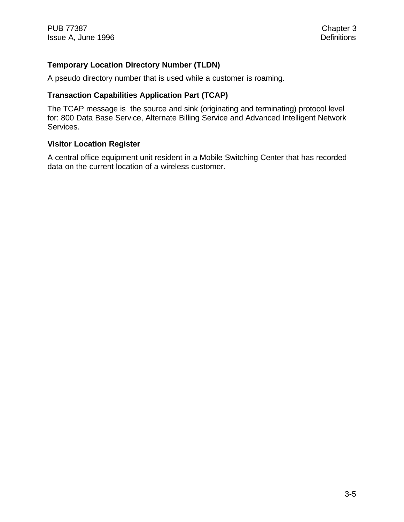#### **Temporary Location Directory Number (TLDN)**

A pseudo directory number that is used while a customer is roaming.

#### **Transaction Capabilities Application Part (TCAP)**

The TCAP message is the source and sink (originating and terminating) protocol level for: 800 Data Base Service, Alternate Billing Service and Advanced Intelligent Network Services.

#### **Visitor Location Register**

A central office equipment unit resident in a Mobile Switching Center that has recorded data on the current location of a wireless customer.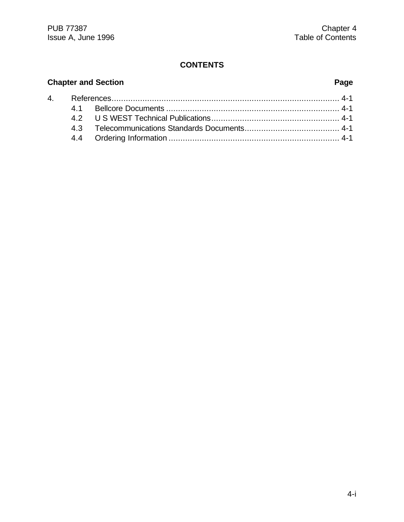# **Chapter and Section Page** 4. References................................................................................................ 4-1 4.1 Bellcore Documents ......................................................................... 4-1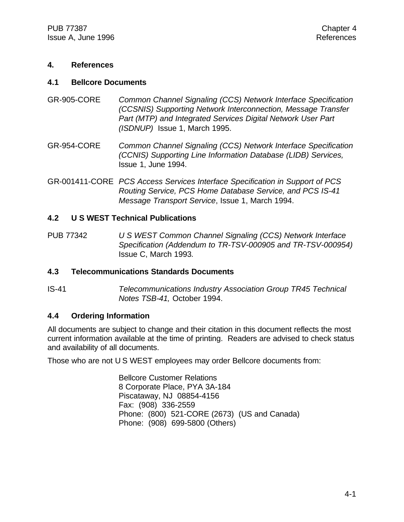#### **4. References**

#### **4.1 Bellcore Documents**

- GR-905-CORE *Common Channel Signaling (CCS) Network Interface Specification (CCSNIS) Supporting Network Interconnection, Message Transfer Part (MTP) and Integrated Services Digital Network User Part (ISDNUP)* Issue 1, March 1995.
- GR-954-CORE *Common Channel Signaling (CCS) Network Interface Specification (CCNIS) Supporting Line Information Database (LIDB) Services,* Issue 1, June 1994.
- GR-001411-CORE *PCS Access Services Interface Specification in Support of PCS Routing Service, PCS Home Database Service, and PCS IS-41 Message Transport Service*, Issue 1, March 1994.

#### **4.2 U S WEST Technical Publications**

PUB 77342 *U S WEST Common Channel Signaling (CCS) Network Interface Specification (Addendum to TR-TSV-000905 and TR-TSV-000954)* Issue C, March 1993*.*

#### **4.3 Telecommunications Standards Documents**

IS-41 *Telecommunications Industry Association Group TR45 Technical Notes TSB-41,* October 1994.

#### **4.4 Ordering Information**

All documents are subject to change and their citation in this document reflects the most current information available at the time of printing. Readers are advised to check status and availability of all documents.

Those who are not U S WEST employees may order Bellcore documents from:

Bellcore Customer Relations 8 Corporate Place, PYA 3A-184 Piscataway, NJ 08854-4156 Fax: (908) 336-2559 Phone: (800) 521-CORE (2673) (US and Canada) Phone: (908) 699-5800 (Others)